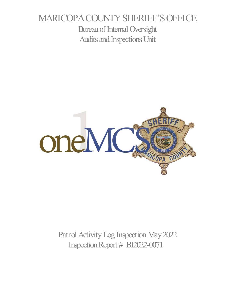# MARICOPA COUNTY SHERIFF'S OFFICE Bureau of Internal Oversight Audits and Inspections Unit



Patrol Activity Log Inspection May2022 Inspection Report # BI2022-0071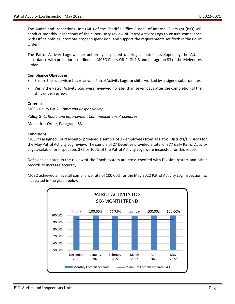The Audits and Inspections Unit (AIU) of the Sheriff's Office Bureau of Internal Oversight (BIO) will conduct monthly inspections of the supervisory review of Patrol Activity Logs to ensure compliance with Office policies, promote proper supervision, and support the requirements set forth in the Court Order.

The Patrol Activity Logs will be uniformly inspected utilizing a matrix developed by the AIU in accordance with procedures outlined in MCSO Policy GB-2, GI-1.3 and paragraph 83 of the Melendres Order.

### **Compliance Objectives:**

- Ensure the supervisor has reviewed Patrol Activity Logs for shifts worked by assigned subordinates.
- Verify the Patrol Activity Logs were reviewed no later than seven days after the completion of the shift under review.

### **Criteria:**

MCSO Policy GB-2, *Command Responsibility*

Policy GI-1, *Radio and Enforcement Communications Procedures*

Melendres Order, Paragraph 83

### **Conditions:**

MCSO's assigned Court Monitor provided a sample of 27 employees from all Patrol Districts/Divisions for the May Patrol Activity Log review. The sample of 27 Deputies provided a total of 377 daily Patrol Activity Logs available for inspection; 377 or 100% of the Patrol Activity Logs were inspected for this report.

Deficiencies noted in the review of the Praxis system are cross-checked with Division rosters and other records to increase accuracy.

MCSO achieved an overall compliance rate of 100.00% for the May 2022 Patrol Activity Log inspection, as illustrated in the graph below: